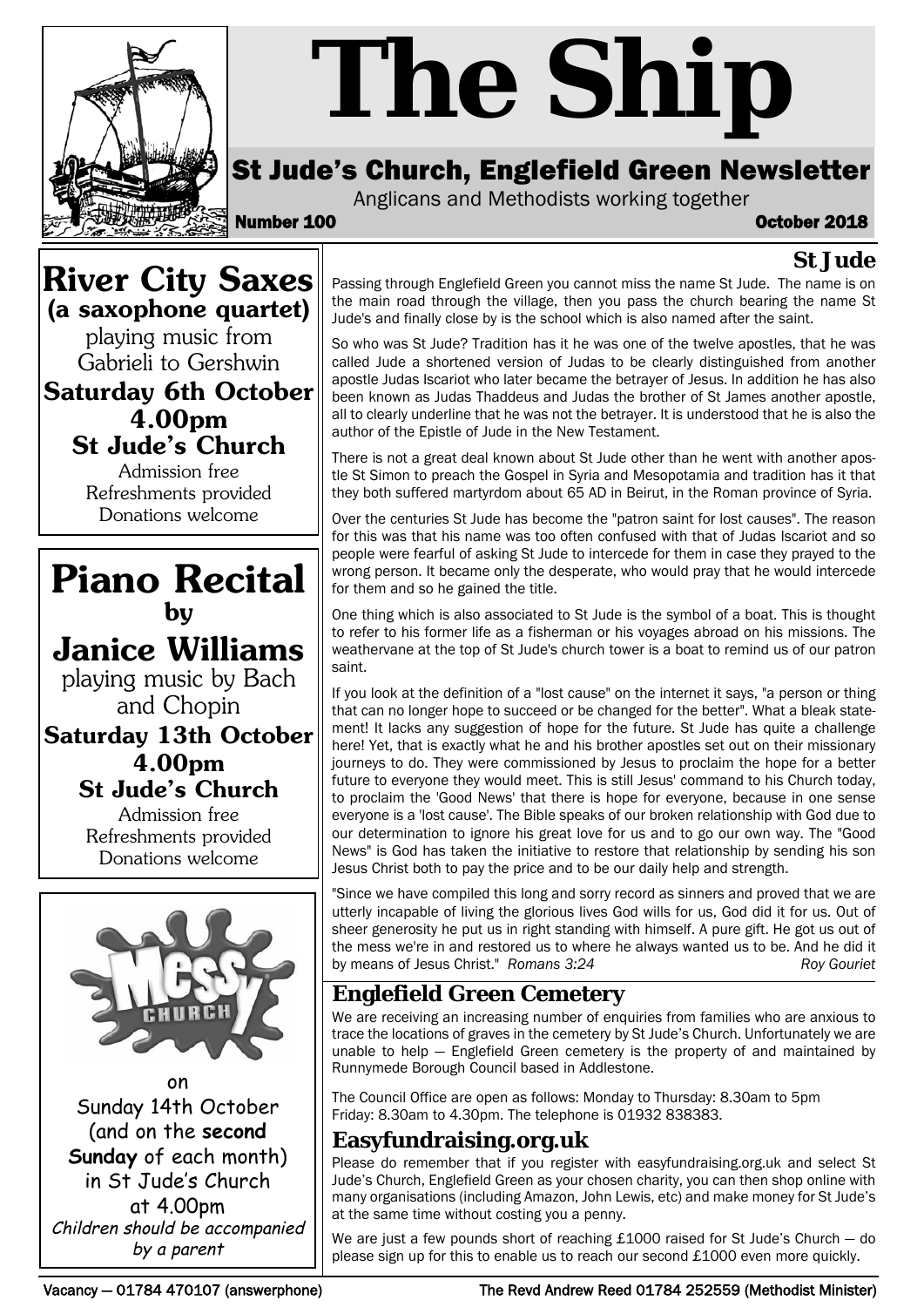

# *The Ship*

# St Jude's Church, Englefield Green Newsletter

Anglicans and Methodists working together

Number 100 October 2018

**St Jude**

# **River City Saxes (a saxophone quartet)**

playing music from Gabrieli to Gershwin

**Saturday 6th October 4.00pm**

**St Jude's Church** Admission free Refreshments provided Donations welcome



playing music by Bach and Chopin

**Saturday 13th October 4.00pm St Jude's Church**

> Admission free Refreshments provided Donations welcome



on Sunday 14th October (and on the **second Sunday** of each month) in St Jude's Church at 4.00pm Children should be accompanied by a parent

Passing through Englefield Green you cannot miss the name St Jude. The name is on the main road through the village, then you pass the church bearing the name St Jude's and finally close by is the school which is also named after the saint.

So who was St Jude? Tradition has it he was one of the twelve apostles, that he was called Jude a shortened version of Judas to be clearly distinguished from another apostle Judas Iscariot who later became the betrayer of Jesus. In addition he has also been known as Judas Thaddeus and Judas the brother of St James another apostle, all to clearly underline that he was not the betrayer. It is understood that he is also the author of the Epistle of Jude in the New Testament.

There is not a great deal known about St Jude other than he went with another apostle St Simon to preach the Gospel in Syria and Mesopotamia and tradition has it that they both suffered martyrdom about 65 AD in Beirut, in the Roman province of Syria.

Over the centuries St Jude has become the "patron saint for lost causes". The reason for this was that his name was too often confused with that of Judas Iscariot and so people were fearful of asking St Jude to intercede for them in case they prayed to the wrong person. It became only the desperate, who would pray that he would intercede for them and so he gained the title.

One thing which is also associated to St Jude is the symbol of a boat. This is thought to refer to his former life as a fisherman or his voyages abroad on his missions. The weathervane at the top of St Jude's church tower is a boat to remind us of our patron saint.

If you look at the definition of a "lost cause" on the internet it says, "a person or thing that can no longer hope to succeed or be changed for the better". What a bleak statement! It lacks any suggestion of hope for the future. St Jude has quite a challenge here! Yet, that is exactly what he and his brother apostles set out on their missionary journeys to do. They were commissioned by Jesus to proclaim the hope for a better future to everyone they would meet. This is still Jesus' command to his Church today, to proclaim the 'Good News' that there is hope for everyone, because in one sense everyone is a 'lost cause'. The Bible speaks of our broken relationship with God due to our determination to ignore his great love for us and to go our own way. The "Good News" is God has taken the initiative to restore that relationship by sending his son Jesus Christ both to pay the price and to be our daily help and strength.

"Since we have compiled this long and sorry record as sinners and proved that we are utterly incapable of living the glorious lives God wills for us, God did it for us. Out of sheer generosity he put us in right standing with himself. A pure gift. He got us out of the mess we're in and restored us to where he always wanted us to be. And he did it by means of Jesus Christ." *Romans 3:24* Roy Gouriet

# **Englefield Green Cemetery**

We are receiving an increasing number of enquiries from families who are anxious to trace the locations of graves in the cemetery by St Jude's Church. Unfortunately we are unable to help — Englefield Green cemetery is the property of and maintained by Runnymede Borough Council based in Addlestone.

The Council Office are open as follows: Monday to Thursday: 8.30am to 5pm Friday: 8.30am to 4.30pm. The telephone is 01932 838383.

## **Easyfundraising.org.uk**

Please do remember that if you register with easyfundraising.org.uk and select St Jude's Church, Englefield Green as your chosen charity, you can then shop online with many organisations (including Amazon, John Lewis, etc) and make money for St Jude's at the same time without costing you a penny.

We are just a few pounds short of reaching  $£1000$  raised for St Jude's Church  $-$  do please sign up for this to enable us to reach our second £1000 even more quickly.